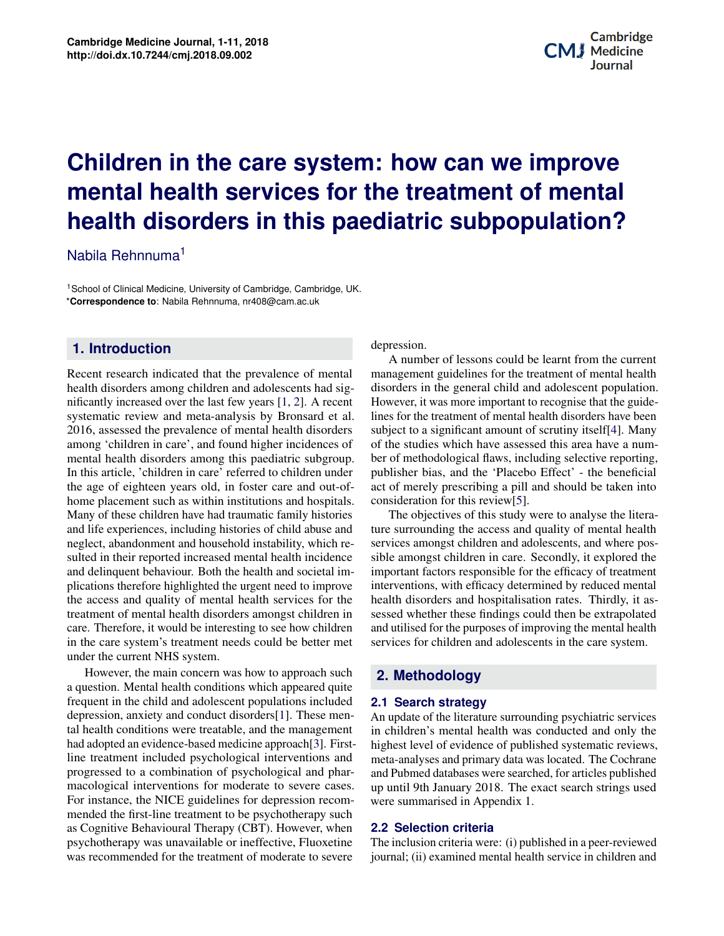# <span id="page-0-0"></span>**Potential Applications of Three-dimensional Bind is the Medicine System were defined in provention mental** health disorders in this paediatric subpopulation? **Children in the care system: how can we improve**

Nabila Rehnnuma<sup>1</sup>

<sup>1</sup>School of Clinical Medicine, University of Cambridge, Cambridge, UK. \***Correspondence to**: Nabila Rehnnuma, nr408@cam.ac.uk

#### **1. Introduction**

Recent research indicated that the prevalence of mental health disorders among children and adolescents had significantly increased over the last few years [\[1,](#page-8-0) [2\]](#page-8-1). A recent systematic review and meta-analysis by Bronsard et al. 2016, assessed the prevalence of mental health disorders among 'children in care', and found higher incidences of mental health disorders among this paediatric subgroup. In this article, 'children in care' referred to children under the age of eighteen years old, in foster care and out-ofhome placement such as within institutions and hospitals. Many of these children have had traumatic family histories and life experiences, including histories of child abuse and neglect, abandonment and household instability, which resulted in their reported increased mental health incidence and delinquent behaviour. Both the health and societal implications therefore highlighted the urgent need to improve the access and quality of mental health services for the treatment of mental health disorders amongst children in care. Therefore, it would be interesting to see how children in the care system's treatment needs could be better met under the current NHS system.

**Contents** depression, anxiety and conduct disorders[\[1\]](#page-8-0). These men-**1 Background 1** had adopted an evidence-based medicine approach[\[3\]](#page-8-2). Firstline treatment included psychological interventions and **3 Principles of Application/Methods of Bioprinting 2** macological interventions for moderate to severe cases. For instance, the NICE guidelines for depression recomas Cognitive Behavioural Therapy (CBT). However, when psychotherapy was unavailable or ineffective, Fluoxetine **5 CONSTRUCTION 4 CONSTRUCT 4 CONSTRUCT** However, the main concern was how to approach such a question. Mental health conditions which appeared quite frequent in the child and adolescent populations included tal health conditions were treatable, and the management progressed to a combination of psychological and pharmended the first-line treatment to be psychotherapy such was recommended for the treatment of moderate to severe

depression.

Potential application.<br> **Potential application**<br> **Positions** of the suidebiopenerative Medicine Medicine Medicine Medicine Medicine Medicine Medicine Medicine Medicine Medicine Medici<br>Biogenerative Medicine Medicine Medicine Medicine Medicine Medicine Medicine Medicine Medicine Medicine Medici<br> A number of lessons could be learnt from the current management guidelines for the treatment of mental health disorders in the general child and adolescent population. However, it was more important to recognise that the guidelines for the treatment of mental health disorders have been subject to a significant amount of scrutiny itself[\[4\]](#page-8-3). Many of the studies which have assessed this area have a number of methodological flaws, including selective reporting, publisher bias, and the 'Placebo Effect' - the beneficial act of merely prescribing a pill and should be taken into consideration for this review[\[5\]](#page-8-4).

and utilised for the purposes of improving the mental health<br>services for children and adolescents in the care system The objectives of this study were to analyse the literature surrounding the access and quality of mental health services amongst children and adolescents, and where possible amongst children in care. Secondly, it explored the important factors responsible for the efficacy of treatment interventions, with efficacy determined by reduced mental health disorders and hospitalisation rates. Thirdly, it assessed whether these findings could then be extrapolated services for children and adolescents in the care system.

#### **2. Methodology**

## *Culture of Organs*" in 1938, which described the equipment **2.1 Search strategy**

e men-<br>and methods which made the interature surrounding psychiatric services<br>and methods which may be an updated and only the First- highest level of evidence of published systematic reviews, is and meta-analyses and primary data was located. The Cochrane researchers and medical research researchers alike have been investigated research strings used  $\frac{1}{2}$  the exciting problem problem problem problem problem problem printing of  $\frac{1}{2}$  and  $\frac{1}{2}$  and  $\frac{1}{2}$  and  $\frac{1}{2}$  and  $\frac{1}{2}$  and  $\frac{1}{2}$  and  $\frac{1}{2}$  and  $\frac{1}{2}$  and  $\frac{1}{2}$  and  $\frac{1}{2}$  an phar- and Pubmed databases were searched, for articles published ecom- were summarised in Appendix 1. in children's mental health was conducted and only the

rel and Charles Lindbergh published "*The Culture of Organs*" in 1938, which

## when **2.2 Selection criteria**

field of Medicine. Over the course of three decades, advances in this technosevere inclusion criteria were. (i) published in a peer-reviewed<br>severe journal; (ii) examined mental health service in children and when **EXEC SCRECT STRETTS**<br>xetine The inclusion criteria were: (i) published in a peer-reviewed medicine, bioprinting is beginning to play a role in regener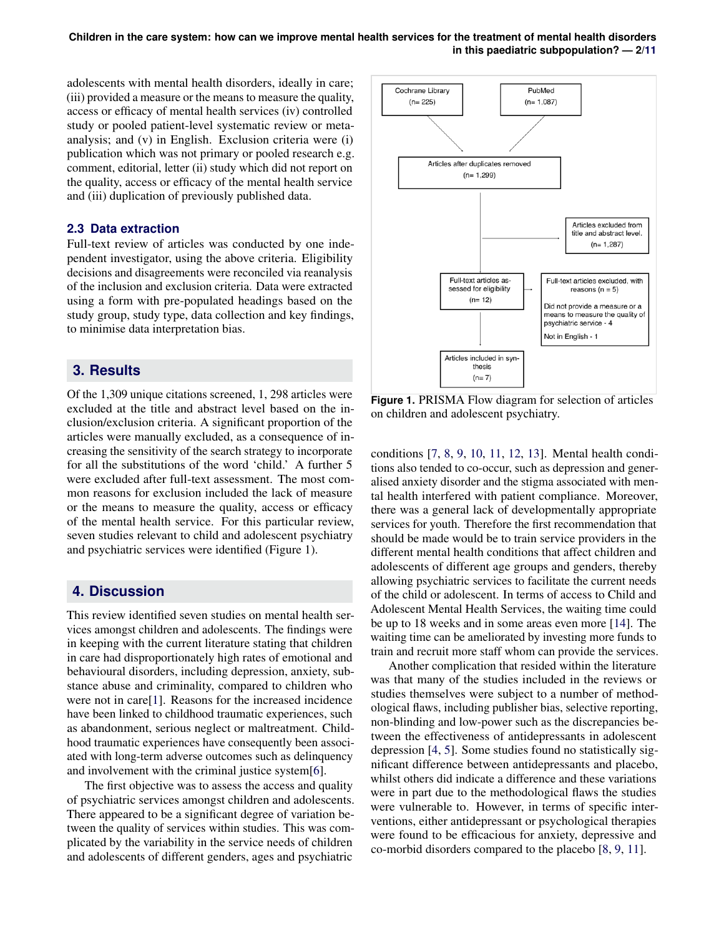**Children in the care system: how can we improve mental health services for the treatment of mental health disorders in this paediatric subpopulation? — 2[/11](#page-0-0)**

adolescents with mental health disorders, ideally in care; (iii) provided a measure or the means to measure the quality, access or efficacy of mental health services (iv) controlled study or pooled patient-level systematic review or metaanalysis; and (v) in English. Exclusion criteria were (i) publication which was not primary or pooled research e.g. comment, editorial, letter (ii) study which did not report on the quality, access or efficacy of the mental health service and (iii) duplication of previously published data.

#### **2.3 Data extraction**

Full-text review of articles was conducted by one independent investigator, using the above criteria. Eligibility decisions and disagreements were reconciled via reanalysis of the inclusion and exclusion criteria. Data were extracted using a form with pre-populated headings based on the study group, study type, data collection and key findings, to minimise data interpretation bias.

#### **3. Results**

Of the 1,309 unique citations screened, 1, 298 articles were excluded at the title and abstract level based on the inclusion/exclusion criteria. A significant proportion of the articles were manually excluded, as a consequence of increasing the sensitivity of the search strategy to incorporate for all the substitutions of the word 'child.' A further 5 were excluded after full-text assessment. The most common reasons for exclusion included the lack of measure or the means to measure the quality, access or efficacy of the mental health service. For this particular review, seven studies relevant to child and adolescent psychiatry and psychiatric services were identified (Figure 1).

#### **4. Discussion**

This review identified seven studies on mental health services amongst children and adolescents. The findings were in keeping with the current literature stating that children in care had disproportionately high rates of emotional and behavioural disorders, including depression, anxiety, substance abuse and criminality, compared to children who were not in care[\[1\]](#page-8-0). Reasons for the increased incidence have been linked to childhood traumatic experiences, such as abandonment, serious neglect or maltreatment. Childhood traumatic experiences have consequently been associated with long-term adverse outcomes such as delinquency and involvement with the criminal justice system[\[6\]](#page-8-5).

The first objective was to assess the access and quality of psychiatric services amongst children and adolescents. There appeared to be a significant degree of variation between the quality of services within studies. This was complicated by the variability in the service needs of children and adolescents of different genders, ages and psychiatric



**Figure 1.** PRISMA Flow diagram for selection of articles on children and adolescent psychiatry.

conditions [\[7,](#page-8-6) [8,](#page-8-7) [9,](#page-8-8) [10,](#page-8-9) [11,](#page-8-10) [12,](#page-9-0) [13\]](#page-9-1). Mental health conditions also tended to co-occur, such as depression and generalised anxiety disorder and the stigma associated with mental health interfered with patient compliance. Moreover, there was a general lack of developmentally appropriate services for youth. Therefore the first recommendation that should be made would be to train service providers in the different mental health conditions that affect children and adolescents of different age groups and genders, thereby allowing psychiatric services to facilitate the current needs of the child or adolescent. In terms of access to Child and Adolescent Mental Health Services, the waiting time could be up to 18 weeks and in some areas even more [\[14\]](#page-9-2). The waiting time can be ameliorated by investing more funds to train and recruit more staff whom can provide the services.

Another complication that resided within the literature was that many of the studies included in the reviews or studies themselves were subject to a number of methodological flaws, including publisher bias, selective reporting, non-blinding and low-power such as the discrepancies between the effectiveness of antidepressants in adolescent depression [\[4,](#page-8-3) [5\]](#page-8-4). Some studies found no statistically significant difference between antidepressants and placebo, whilst others did indicate a difference and these variations were in part due to the methodological flaws the studies were vulnerable to. However, in terms of specific interventions, either antidepressant or psychological therapies were found to be efficacious for anxiety, depressive and co-morbid disorders compared to the placebo [\[8,](#page-8-7) [9,](#page-8-8) [11\]](#page-8-10).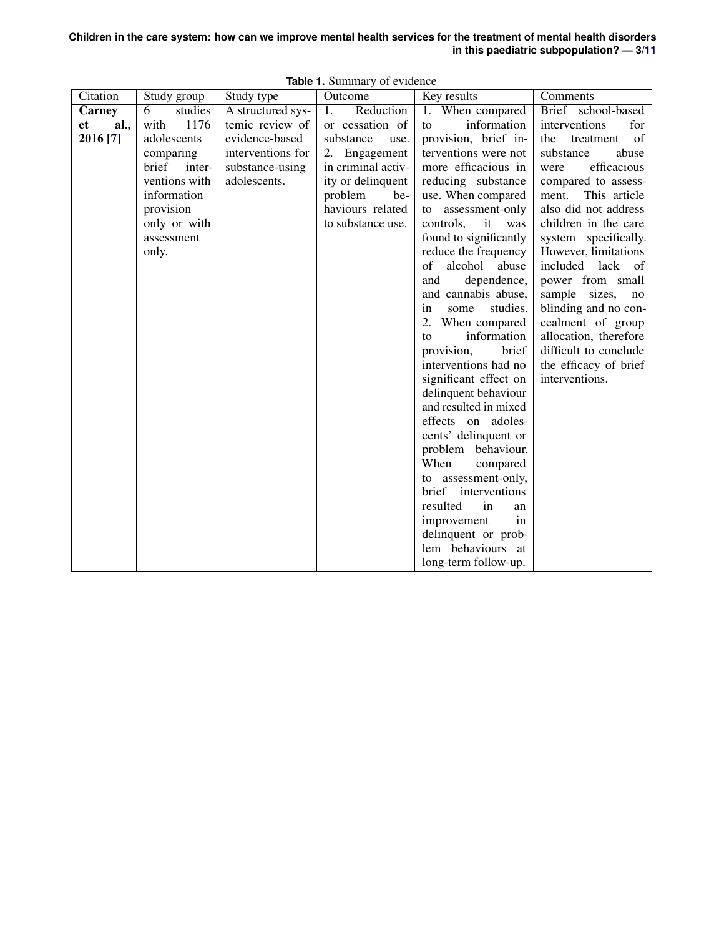| Children in the care system: how can we improve mental health services for the treatment of mental health disorders |                                           |  |  |
|---------------------------------------------------------------------------------------------------------------------|-------------------------------------------|--|--|
|                                                                                                                     | in this paediatric subpopulation? $-3/11$ |  |  |

| Citation   | Study group     | Study type        | Outcome            | Key results                        | Comments                                   |
|------------|-----------------|-------------------|--------------------|------------------------------------|--------------------------------------------|
| Carney     | 6<br>studies    | A structured sys- | Reduction<br>1.    | 1. When compared                   | Brief school-based                         |
| al.,<br>et | 1176<br>with    | temic review of   | or cessation of    | information<br>to                  | for<br>interventions                       |
| 2016 [7]   | adolescents     | evidence-based    | substance<br>use.  | provision, brief in-               | treatment<br>of<br>the                     |
|            | comparing       | interventions for | Engagement<br>2.   | terventions were not               | substance<br>abuse                         |
|            | brief<br>inter- | substance-using   | in criminal activ- | more efficacious in                | efficacious<br>were                        |
|            | ventions with   | adolescents.      | ity or delinquent  | reducing substance                 | compared to assess-                        |
|            | information     |                   | problem<br>be-     | use. When compared                 | This article<br>ment.                      |
|            | provision       |                   | haviours related   | to assessment-only                 | also did not address                       |
|            | only or with    |                   | to substance use.  | it<br>controls,<br>was             | children in the care                       |
|            | assessment      |                   |                    | found to significantly             | system specifically.                       |
|            | only.           |                   |                    | reduce the frequency               | However, limitations                       |
|            |                 |                   |                    | of<br>alcohol<br>abuse             | included lack of                           |
|            |                 |                   |                    | dependence,<br>and                 | power from small                           |
|            |                 |                   |                    | and cannabis abuse,                | sample sizes,<br>no                        |
|            |                 |                   |                    | studies.<br>in<br>some<br>2.       | blinding and no con-                       |
|            |                 |                   |                    | When compared<br>information<br>to | cealment of group<br>allocation, therefore |
|            |                 |                   |                    | provision,<br>brief                | difficult to conclude                      |
|            |                 |                   |                    | interventions had no               | the efficacy of brief                      |
|            |                 |                   |                    | significant effect on              | interventions.                             |
|            |                 |                   |                    | delinquent behaviour               |                                            |
|            |                 |                   |                    | and resulted in mixed              |                                            |
|            |                 |                   |                    | effects on adoles-                 |                                            |
|            |                 |                   |                    | cents' delinquent or               |                                            |
|            |                 |                   |                    | problem behaviour.                 |                                            |
|            |                 |                   |                    | When<br>compared                   |                                            |
|            |                 |                   |                    | to assessment-only,                |                                            |
|            |                 |                   |                    | brief interventions                |                                            |
|            |                 |                   |                    | resulted<br>in<br>an               |                                            |
|            |                 |                   |                    | improvement<br>in                  |                                            |
|            |                 |                   |                    | delinquent or prob-                |                                            |
|            |                 |                   |                    | lem behaviours at                  |                                            |
|            |                 |                   |                    | long-term follow-up.               |                                            |

**Table 1.** Summary of evidence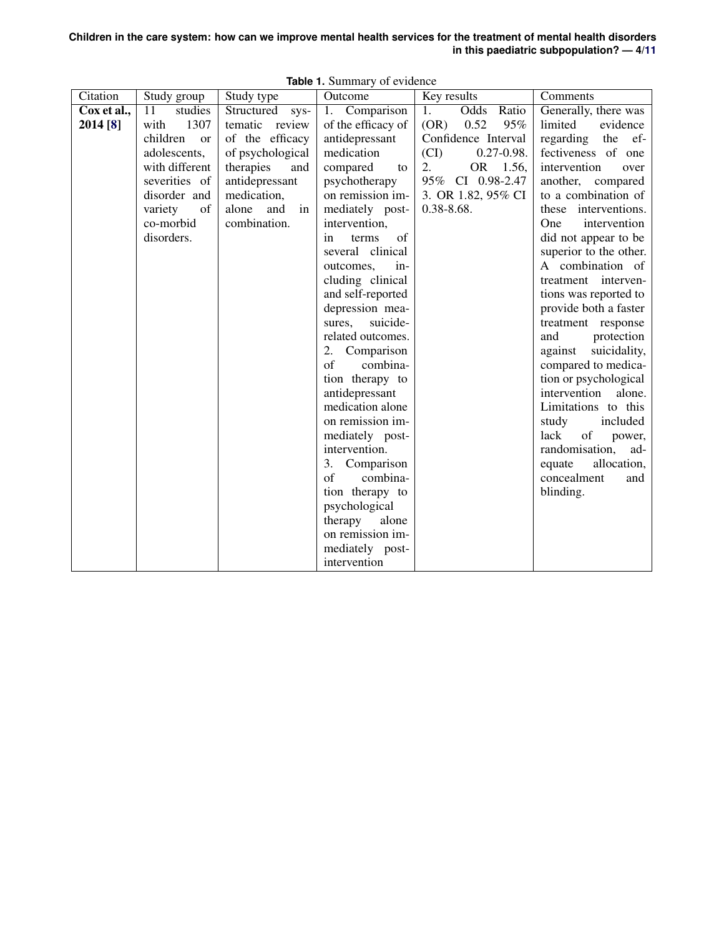| Children in the care system: how can we improve mental health services for the treatment of mental health disorders |  |                                           |  |
|---------------------------------------------------------------------------------------------------------------------|--|-------------------------------------------|--|
|                                                                                                                     |  | in this paediatric subpopulation? $-4/11$ |  |

| Citation    | Study group                | Study type         | Outcome                            | Key results             | Comments                                     |
|-------------|----------------------------|--------------------|------------------------------------|-------------------------|----------------------------------------------|
| Cox et al., | $\overline{11}$<br>studies | Structured sys-    | 1. Comparison                      | 1.<br>Odds Ratio        | Generally, there was                         |
| 2014 [8]    | 1307<br>with               | tematic<br>review  | of the efficacy of                 | 0.52<br>(OR)<br>95%     | limited<br>evidence                          |
|             | children<br><b>or</b>      | of the efficacy    | antidepressant                     | Confidence Interval     | regarding the<br>ef-                         |
|             | adolescents,               | of psychological   | medication                         | (CI)<br>$0.27 - 0.98$ . | fectiveness of one                           |
|             | with different             | therapies<br>and   | compared<br>to                     | 2.<br>OR 1.56,          | intervention<br>over                         |
|             | severities of              | antidepressant     | psychotherapy                      | 95% CI 0.98-2.47        | another, compared                            |
|             | disorder and               | medication,        | on remission im-                   | 3. OR 1.82, 95% CI      | to a combination of                          |
|             | variety<br>of              | alone<br>and<br>in | mediately post-                    | $0.38 - 8.68$ .         | these interventions.                         |
|             | co-morbid                  | combination.       | intervention,                      |                         | intervention<br><b>One</b>                   |
|             | disorders.                 |                    | of<br>terms<br><i>in</i>           |                         | did not appear to be                         |
|             |                            |                    | several clinical                   |                         | superior to the other.                       |
|             |                            |                    | outcomes,<br>in-                   |                         | A combination of                             |
|             |                            |                    | cluding clinical                   |                         | treatment interven-                          |
|             |                            |                    | and self-reported                  |                         | tions was reported to                        |
|             |                            |                    | depression mea-                    |                         | provide both a faster                        |
|             |                            |                    | suicide-<br>sures,                 |                         | treatment response                           |
|             |                            |                    | related outcomes.                  |                         | and<br>protection                            |
|             |                            |                    | 2. Comparison<br>of<br>combina-    |                         | suicidality,<br>against                      |
|             |                            |                    |                                    |                         | compared to medica-<br>tion or psychological |
|             |                            |                    | tion therapy to                    |                         | intervention<br>alone.                       |
|             |                            |                    | antidepressant<br>medication alone |                         | Limitations to this                          |
|             |                            |                    | on remission im-                   |                         | study<br>included                            |
|             |                            |                    | mediately post-                    |                         | of<br>lack<br>power,                         |
|             |                            |                    | intervention.                      |                         | randomisation,<br>ad-                        |
|             |                            |                    | 3. Comparison                      |                         | allocation,<br>equate                        |
|             |                            |                    | combina-<br>of                     |                         | concealment<br>and                           |
|             |                            |                    | tion therapy to                    |                         | blinding.                                    |
|             |                            |                    | psychological                      |                         |                                              |
|             |                            |                    | therapy<br>alone                   |                         |                                              |
|             |                            |                    | on remission im-                   |                         |                                              |
|             |                            |                    | mediately post-                    |                         |                                              |
|             |                            |                    | intervention                       |                         |                                              |

**Table 1.** Summary of evidence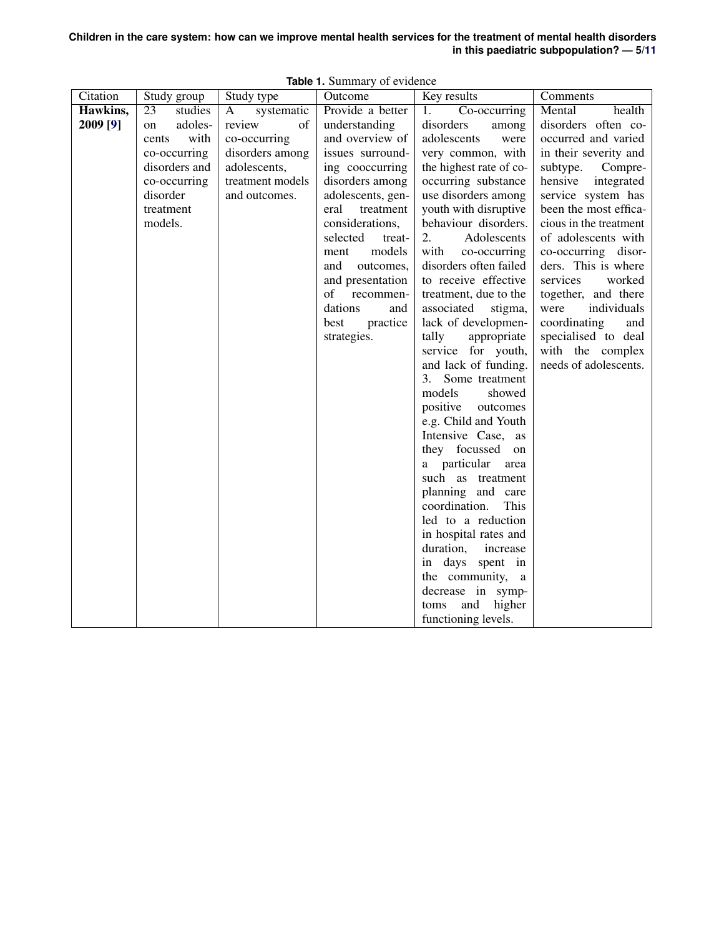| Children in the care system: how can we improve mental health services for the treatment of mental health disorders |  |                                           |  |
|---------------------------------------------------------------------------------------------------------------------|--|-------------------------------------------|--|
|                                                                                                                     |  | in this paediatric subpopulation? $-5/11$ |  |

| Citation | Study group   | Study type       | Outcome            | Key results             | Comments               |
|----------|---------------|------------------|--------------------|-------------------------|------------------------|
| Hawkins, | 23<br>studies | systematic<br>A  | Provide a better   | Co-occurring<br>1.      | Mental<br>health       |
| 2009 [9] | adoles-<br>on | review<br>of     | understanding      | disorders<br>among      | disorders often co-    |
|          | with<br>cents | co-occurring     | and overview of    | adolescents<br>were     | occurred and varied    |
|          | co-occurring  | disorders among  | issues surround-   | very common, with       | in their severity and  |
|          | disorders and | adolescents,     | ing cooccurring    | the highest rate of co- | subtype.<br>Compre-    |
|          | co-occurring  | treatment models | disorders among    | occurring substance     | hensive<br>integrated  |
|          | disorder      | and outcomes.    | adolescents, gen-  | use disorders among     | service system has     |
|          | treatment     |                  | eral<br>treatment  | youth with disruptive   | been the most effica-  |
|          | models.       |                  | considerations,    | behaviour disorders.    | cious in the treatment |
|          |               |                  | selected<br>treat- | 2.<br>Adolescents       | of adolescents with    |
|          |               |                  | models<br>ment     | with<br>co-occurring    | co-occurring disor-    |
|          |               |                  | and<br>outcomes,   | disorders often failed  | ders. This is where    |
|          |               |                  | and presentation   | to receive effective    | services<br>worked     |
|          |               |                  | of<br>recommen-    | treatment, due to the   | together, and there    |
|          |               |                  | dations<br>and     | associated<br>stigma,   | individuals<br>were    |
|          |               |                  | practice<br>best   | lack of developmen-     | coordinating<br>and    |
|          |               |                  | strategies.        | tally<br>appropriate    | specialised to deal    |
|          |               |                  |                    | service for youth,      | with the complex       |
|          |               |                  |                    | and lack of funding.    | needs of adolescents.  |
|          |               |                  |                    | Some treatment<br>3.    |                        |
|          |               |                  |                    | models<br>showed        |                        |
|          |               |                  |                    | positive outcomes       |                        |
|          |               |                  |                    | e.g. Child and Youth    |                        |
|          |               |                  |                    | Intensive Case, as      |                        |
|          |               |                  |                    | they focussed<br>on     |                        |
|          |               |                  |                    | particular<br>area      |                        |
|          |               |                  |                    | such as treatment       |                        |
|          |               |                  |                    | planning and care       |                        |
|          |               |                  |                    | coordination.<br>This   |                        |
|          |               |                  |                    | led to a reduction      |                        |
|          |               |                  |                    | in hospital rates and   |                        |
|          |               |                  |                    | duration,<br>increase   |                        |
|          |               |                  |                    | in days spent in        |                        |
|          |               |                  |                    | the community,<br>a     |                        |
|          |               |                  |                    | decrease in symp-       |                        |
|          |               |                  |                    | and<br>higher<br>toms   |                        |
|          |               |                  |                    | functioning levels.     |                        |

**Table 1.** Summary of evidence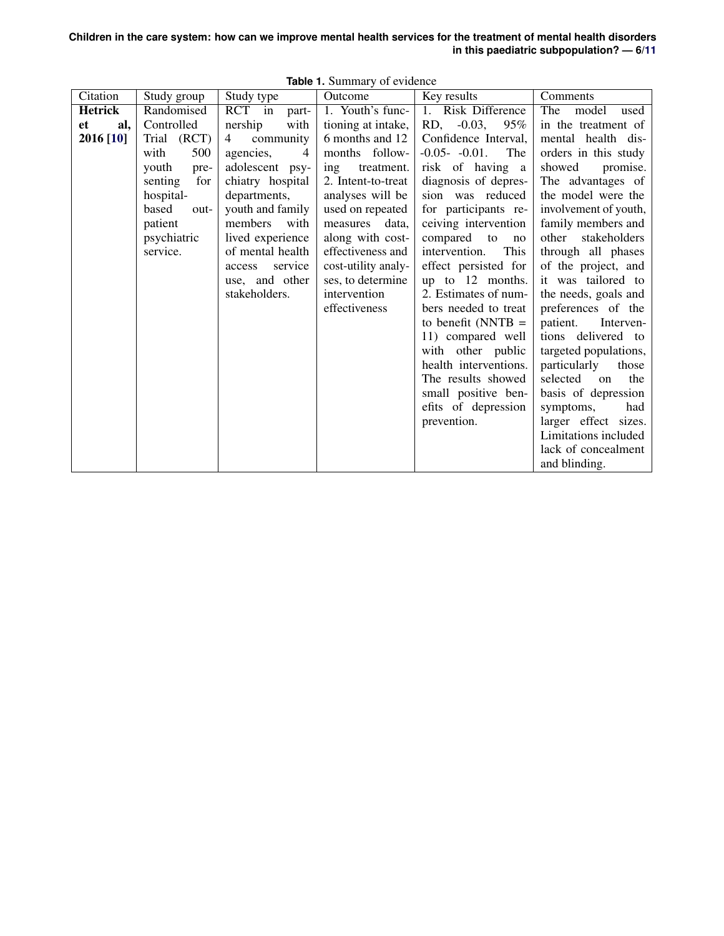**Children in the care system: how can we improve mental health services for the treatment of mental health disorders in this paediatric subpopulation? — 6[/11](#page-0-0)**

|                  |                |                   | $\frac{1}{2}$       |                         |                       |
|------------------|----------------|-------------------|---------------------|-------------------------|-----------------------|
| Citation         | Study group    | Study type        | Outcome             | Key results             | Comments              |
| <b>Hetrick</b>   | Randomised     | RCT in part-      | 1. Youth's func-    | 1. Risk Difference      | The<br>model<br>used  |
| al,<br><b>et</b> | Controlled     | nership<br>with   | tioning at intake,  | RD, -0.03,<br>95%       | in the treatment of   |
| 2016 [10]        | Trial (RCT)    | community<br>4    | 6 months and 12     | Confidence Interval,    | mental health dis-    |
|                  | with<br>500    | agencies,<br>4    | months follow-      | $-0.05 - 0.01$ .<br>The | orders in this study  |
|                  | youth<br>pre-  | adolescent psy-   | ing<br>treatment.   | risk of having a        | showed<br>promise.    |
|                  | for<br>senting | chiatry hospital  | 2. Intent-to-treat  | diagnosis of depres-    | The advantages of     |
|                  | hospital-      | departments,      | analyses will be    | sion was reduced        | the model were the    |
|                  | based<br>out-  | youth and family  | used on repeated    | for participants re-    | involvement of youth, |
|                  | patient        | members<br>with   | measures data.      | ceiving intervention    | family members and    |
|                  | psychiatric    | lived experience  | along with cost-    | compared to<br>no       | other<br>stakeholders |
|                  | service.       | of mental health  | effectiveness and   | intervention.<br>This   | through all phases    |
|                  |                | service<br>access | cost-utility analy- | effect persisted for    | of the project, and   |
|                  |                | use, and other    | ses, to determine   | up to 12 months.        | it was tailored to    |
|                  |                | stakeholders.     | intervention        | 2. Estimates of num-    | the needs, goals and  |
|                  |                |                   | effectiveness       | bers needed to treat    | preferences of the    |
|                  |                |                   |                     | to benefit (NNTB $=$    | patient.<br>Interven- |
|                  |                |                   |                     | 11) compared well       | tions delivered to    |
|                  |                |                   |                     | with other public       | targeted populations, |
|                  |                |                   |                     | health interventions.   | particularly<br>those |
|                  |                |                   |                     | The results showed      | selected<br>the<br>on |
|                  |                |                   |                     | small positive ben-     | basis of depression   |
|                  |                |                   |                     | efits of depression     | symptoms,<br>had      |
|                  |                |                   |                     | prevention.             | larger effect sizes.  |
|                  |                |                   |                     |                         | Limitations included  |
|                  |                |                   |                     |                         | lack of concealment   |
|                  |                |                   |                     |                         | and blinding.         |

**Table 1.** Summary of evidence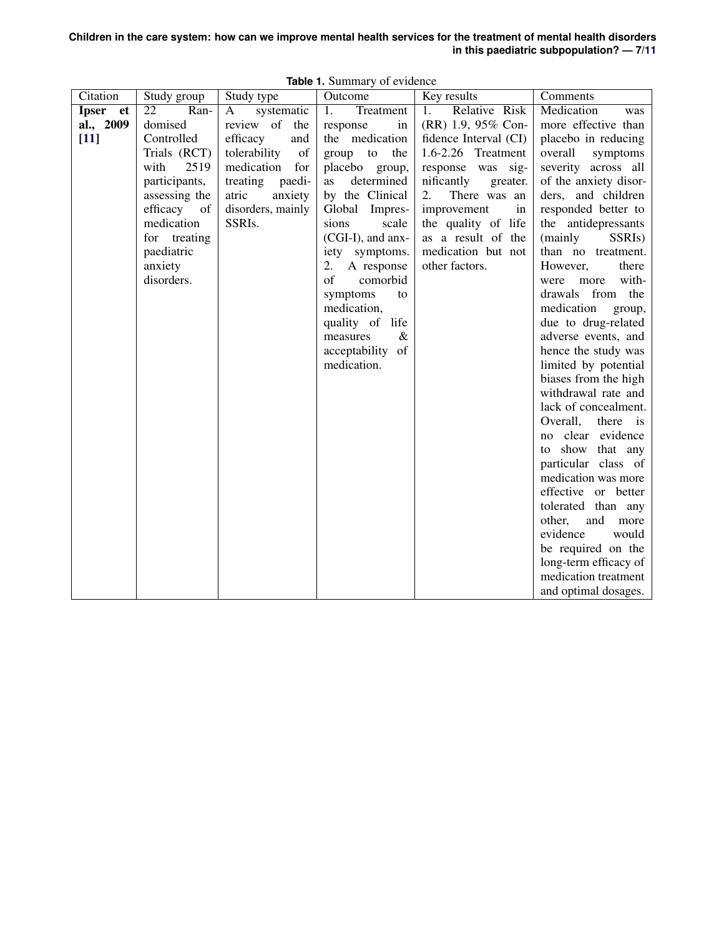| Citation                        | Study group                                                                                                                                                                                  | Study type                                                                                                                                                              | Outcome                                                                                                                                                                                                                                                                                                                                                  | Key results                                                                                                                                                                                                                                                             | Comments                                                                                                                                                                                                                                                                                                                                                                                                                                                                                                                                                                                                                                                                  |
|---------------------------------|----------------------------------------------------------------------------------------------------------------------------------------------------------------------------------------------|-------------------------------------------------------------------------------------------------------------------------------------------------------------------------|----------------------------------------------------------------------------------------------------------------------------------------------------------------------------------------------------------------------------------------------------------------------------------------------------------------------------------------------------------|-------------------------------------------------------------------------------------------------------------------------------------------------------------------------------------------------------------------------------------------------------------------------|---------------------------------------------------------------------------------------------------------------------------------------------------------------------------------------------------------------------------------------------------------------------------------------------------------------------------------------------------------------------------------------------------------------------------------------------------------------------------------------------------------------------------------------------------------------------------------------------------------------------------------------------------------------------------|
| Ipser et<br>al., 2009<br>$[11]$ | Ran-<br>22<br>domised<br>Controlled<br>Trials (RCT)<br>2519<br>with<br>participants,<br>assessing the<br>efficacy<br>of<br>medication<br>for treating<br>paediatric<br>anxiety<br>disorders. | systematic<br>A<br>review of the<br>efficacy<br>and<br>tolerability<br>of<br>medication<br>for<br>treating<br>paedi-<br>atric<br>anxiety<br>disorders, mainly<br>SSRIs. | Treatment<br>1.<br>in<br>response<br>the medication<br>group to the<br>placebo group,<br>determined<br>as<br>by the Clinical<br>Global Impres-<br>scale<br>sions<br>(CGI-I), and anx-<br>iety symptoms.<br>2.<br>A response<br>of<br>comorbid<br>symptoms<br>to<br>medication,<br>quality of life<br>$\&$<br>measures<br>acceptability of<br>medication. | Relative Risk<br>1.<br>(RR) 1.9, 95% Con-<br>fidence Interval (CI)<br>1.6-2.26 Treatment<br>response was sig-<br>nificantly<br>greater.<br>2.<br>There was an<br>improvement<br>in<br>the quality of life<br>as a result of the<br>medication but not<br>other factors. | Medication<br>was<br>more effective than<br>placebo in reducing<br>overall<br>symptoms<br>severity across all<br>of the anxiety disor-<br>ders, and children<br>responded better to<br>the antidepressants<br>(mainly<br>SSRI <sub>s</sub> )<br>than no treatment.<br>However,<br>there<br>with-<br>more<br>were<br>from the<br>drawals<br>medication<br>group,<br>due to drug-related<br>adverse events, and<br>hence the study was<br>limited by potential<br>biases from the high<br>withdrawal rate and<br>lack of concealment.<br>Overall,<br>there is<br>no clear evidence<br>to show that any<br>particular class of<br>medication was more<br>effective or better |
|                                 |                                                                                                                                                                                              |                                                                                                                                                                         |                                                                                                                                                                                                                                                                                                                                                          |                                                                                                                                                                                                                                                                         |                                                                                                                                                                                                                                                                                                                                                                                                                                                                                                                                                                                                                                                                           |
|                                 |                                                                                                                                                                                              |                                                                                                                                                                         |                                                                                                                                                                                                                                                                                                                                                          |                                                                                                                                                                                                                                                                         | tolerated than any<br>other,<br>and<br>more<br>evidence<br>would<br>be required on the<br>long-term efficacy of<br>medication treatment<br>and optimal dosages.                                                                                                                                                                                                                                                                                                                                                                                                                                                                                                           |

**Table 1.** Summary of evidence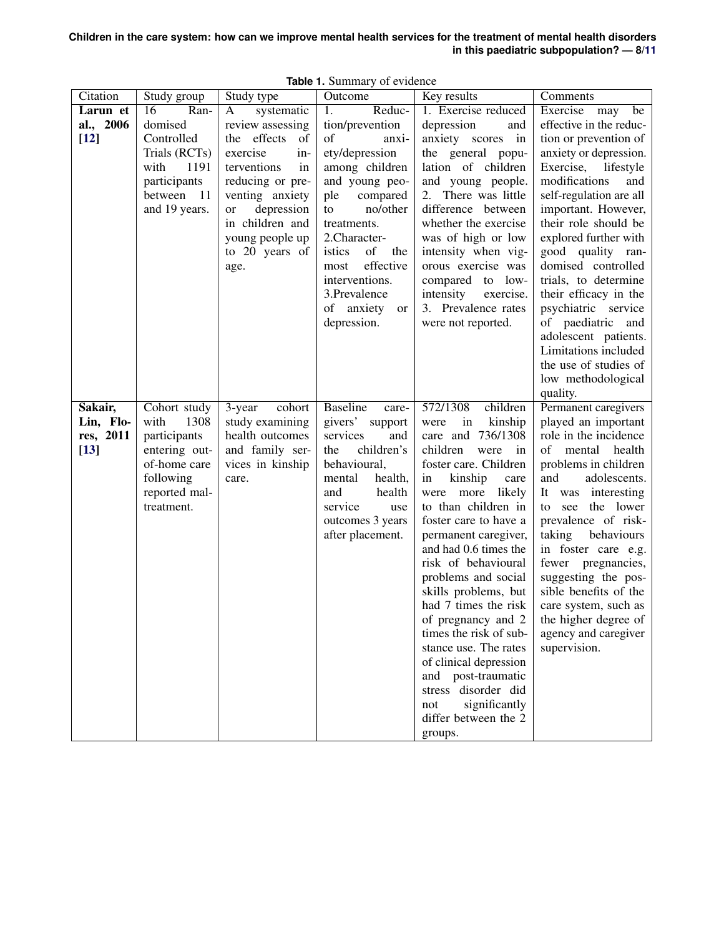| Citation  | Study group   | Study type              | Outcome                         | Key results                                   | Comments                                     |
|-----------|---------------|-------------------------|---------------------------------|-----------------------------------------------|----------------------------------------------|
| Larun et  | Ran-<br>16    | systematic<br>A         | 1.<br>Reduc-                    | 1. Exercise reduced                           | Exercise<br>may<br>be                        |
| al., 2006 | domised       | review assessing        | tion/prevention                 | depression<br>and                             | effective in the reduc-                      |
| $[12]$    | Controlled    | the effects<br>of       | οf<br>anxi-                     | anxiety scores in                             | tion or prevention of                        |
|           | Trials (RCTs) | exercise<br>in-         | ety/depression                  | the general popu-                             | anxiety or depression.                       |
|           | with<br>1191  | terventions<br>in       | among children                  | lation of children                            | Exercise, lifestyle                          |
|           | participants  | reducing or pre-        | and young peo-                  | and young people.                             | modifications<br>and                         |
|           | between 11    | venting anxiety         | ple<br>compared                 | 2. There was little                           | self-regulation are all                      |
|           | and 19 years. | depression<br><b>or</b> | no/other<br>to                  | difference between                            | important. However,                          |
|           |               | in children and         | treatments.                     | whether the exercise                          | their role should be                         |
|           |               | young people up         | 2.Character-                    | was of high or low                            | explored further with                        |
|           |               | to 20 years of          | istics<br>of<br>the             | intensity when vig-                           | good quality ran-                            |
|           |               | age.                    | effective<br>most               | orous exercise was                            | domised controlled                           |
|           |               |                         | interventions.                  | compared to low-                              | trials, to determine                         |
|           |               |                         | 3. Prevalence                   | intensity<br>exercise.                        | their efficacy in the                        |
|           |               |                         | of anxiety<br>or<br>depression. | 3. Prevalence rates<br>were not reported.     | psychiatric service<br>of paediatric and     |
|           |               |                         |                                 |                                               | adolescent patients.                         |
|           |               |                         |                                 |                                               | Limitations included                         |
|           |               |                         |                                 |                                               | the use of studies of                        |
|           |               |                         |                                 |                                               | low methodological                           |
|           |               |                         |                                 |                                               | quality.                                     |
| Sakair,   | Cohort study  | cohort<br>3-year        | <b>Baseline</b><br>care-        | 572/1308<br>children                          | Permanent caregivers                         |
| Lin, Flo- | 1308<br>with  | study examining         | givers'<br>support              | kinship<br>were<br>in                         | played an important                          |
| res, 2011 | participants  | health outcomes         | services<br>and                 | care and 736/1308                             | role in the incidence                        |
| $[13]$    | entering out- | and family ser-         | children's<br>the               | children<br>were<br>in                        | mental<br>health<br>оf                       |
|           | of-home care  | vices in kinship        | behavioural,                    | foster care. Children                         | problems in children                         |
|           | following     | care.                   | health,<br>mental               | kinship<br>in<br>care                         | adolescents.<br>and                          |
|           | reported mal- |                         | health<br>and                   | were more likely                              | It was interesting                           |
|           | treatment.    |                         | service<br>use                  | to than children in                           | to see<br>the lower                          |
|           |               |                         | outcomes 3 years                | foster care to have a                         | prevalence of risk-                          |
|           |               |                         | after placement.                | permanent caregiver,<br>and had 0.6 times the | taking<br>behaviours                         |
|           |               |                         |                                 | risk of behavioural                           | in foster care e.g.<br>fewer<br>pregnancies, |
|           |               |                         |                                 | problems and social                           | suggesting the pos-                          |
|           |               |                         |                                 | skills problems, but                          | sible benefits of the                        |
|           |               |                         |                                 | had 7 times the risk                          | care system, such as                         |
|           |               |                         |                                 | of pregnancy and 2                            | the higher degree of                         |
|           |               |                         |                                 | times the risk of sub-                        | agency and caregiver                         |
|           |               |                         |                                 | stance use. The rates                         | supervision.                                 |
|           |               |                         |                                 | of clinical depression                        |                                              |
|           |               |                         |                                 | post-traumatic<br>and                         |                                              |
|           |               |                         |                                 | stress disorder did                           |                                              |
|           |               |                         |                                 | significantly<br>not                          |                                              |
|           |               |                         |                                 | differ between the 2                          |                                              |
|           |               |                         |                                 | groups.                                       |                                              |

**Table 1.** Summary of evidence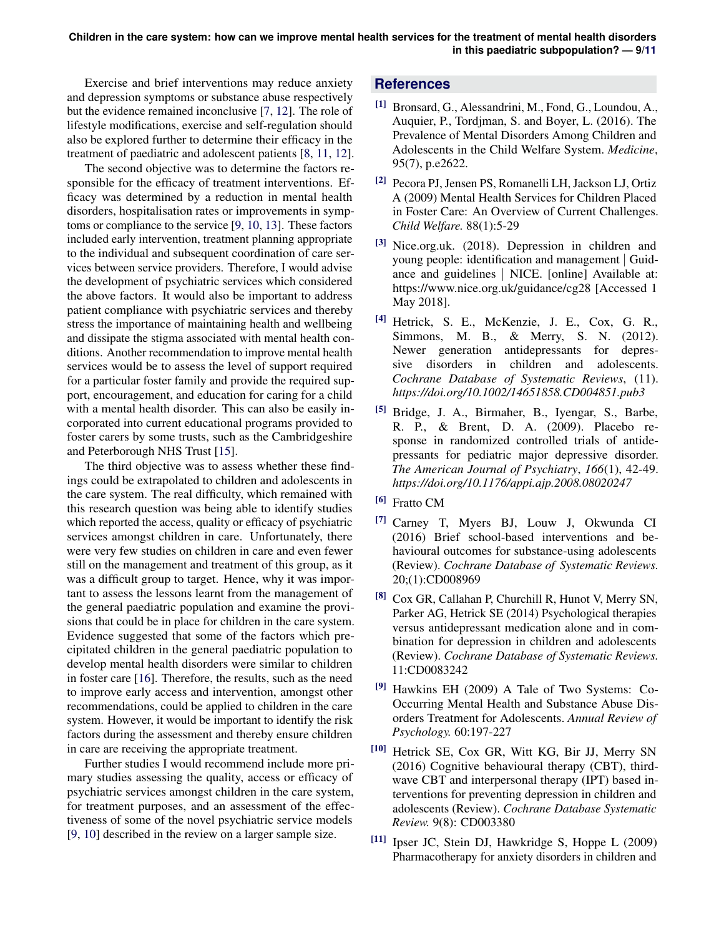Exercise and brief interventions may reduce anxiety and depression symptoms or substance abuse respectively but the evidence remained inconclusive [\[7,](#page-8-6) [12\]](#page-9-0). The role of lifestyle modifications, exercise and self-regulation should also be explored further to determine their efficacy in the treatment of paediatric and adolescent patients [\[8,](#page-8-7) [11,](#page-8-10) [12\]](#page-9-0).

The second objective was to determine the factors responsible for the efficacy of treatment interventions. Efficacy was determined by a reduction in mental health disorders, hospitalisation rates or improvements in symptoms or compliance to the service [\[9,](#page-8-8) [10,](#page-8-9) [13\]](#page-9-1). These factors included early intervention, treatment planning appropriate to the individual and subsequent coordination of care services between service providers. Therefore, I would advise the development of psychiatric services which considered the above factors. It would also be important to address patient compliance with psychiatric services and thereby stress the importance of maintaining health and wellbeing and dissipate the stigma associated with mental health conditions. Another recommendation to improve mental health services would be to assess the level of support required for a particular foster family and provide the required support, encouragement, and education for caring for a child with a mental health disorder. This can also be easily incorporated into current educational programs provided to foster carers by some trusts, such as the Cambridgeshire and Peterborough NHS Trust [\[15\]](#page-9-3).

The third objective was to assess whether these findings could be extrapolated to children and adolescents in the care system. The real difficulty, which remained with this research question was being able to identify studies which reported the access, quality or efficacy of psychiatric services amongst children in care. Unfortunately, there were very few studies on children in care and even fewer still on the management and treatment of this group, as it was a difficult group to target. Hence, why it was important to assess the lessons learnt from the management of the general paediatric population and examine the provisions that could be in place for children in the care system. Evidence suggested that some of the factors which precipitated children in the general paediatric population to develop mental health disorders were similar to children in foster care [\[16\]](#page-9-4). Therefore, the results, such as the need to improve early access and intervention, amongst other recommendations, could be applied to children in the care system. However, it would be important to identify the risk factors during the assessment and thereby ensure children in care are receiving the appropriate treatment.

Further studies I would recommend include more primary studies assessing the quality, access or efficacy of psychiatric services amongst children in the care system, for treatment purposes, and an assessment of the effectiveness of some of the novel psychiatric service models [\[9,](#page-8-8) [10\]](#page-8-9) described in the review on a larger sample size.

#### **References**

- <span id="page-8-0"></span>[1] Bronsard, G., Alessandrini, M., Fond, G., Loundou, A., Auquier, P., Tordjman, S. and Boyer, L. (2016). The Prevalence of Mental Disorders Among Children and Adolescents in the Child Welfare System. *Medicine*, 95(7), p.e2622.
- <span id="page-8-1"></span>[2] Pecora PJ, Jensen PS, Romanelli LH, Jackson LJ, Ortiz A (2009) Mental Health Services for Children Placed in Foster Care: An Overview of Current Challenges. *Child Welfare.* 88(1):5-29
- <span id="page-8-2"></span>[3] Nice.org.uk. (2018). Depression in children and young people: identification and management | Guidance and guidelines | NICE. [online] Available at: https://www.nice.org.uk/guidance/cg28 [Accessed 1 May 2018].
- <span id="page-8-3"></span>[4] Hetrick, S. E., McKenzie, J. E., Cox, G. R., Simmons, M. B., & Merry, S. N. (2012). Newer generation antidepressants for depressive disorders in children and adolescents. *Cochrane Database of Systematic Reviews*, (11). *https://doi.org/10.1002/14651858.CD004851.pub3*
- <span id="page-8-4"></span>[5] Bridge, J. A., Birmaher, B., Iyengar, S., Barbe, R. P., & Brent, D. A. (2009). Placebo response in randomized controlled trials of antidepressants for pediatric major depressive disorder. *The American Journal of Psychiatry*, *166*(1), 42-49. *https://doi.org/10.1176/appi.ajp.2008.08020247*
- <span id="page-8-5"></span>[6] Fratto CM
- <span id="page-8-6"></span>[7] Carney T, Myers BJ, Louw J, Okwunda CI (2016) Brief school-based interventions and behavioural outcomes for substance-using adolescents (Review). *Cochrane Database of Systematic Reviews.* 20;(1):CD008969
- <span id="page-8-7"></span>[8] Cox GR, Callahan P, Churchill R, Hunot V, Merry SN, Parker AG, Hetrick SE (2014) Psychological therapies versus antidepressant medication alone and in combination for depression in children and adolescents (Review). *Cochrane Database of Systematic Reviews.* 11:CD0083242
- <span id="page-8-8"></span>[9] Hawkins EH (2009) A Tale of Two Systems: Co-Occurring Mental Health and Substance Abuse Disorders Treatment for Adolescents. *Annual Review of Psychology.* 60:197-227
- <span id="page-8-9"></span>[10] Hetrick SE, Cox GR, Witt KG, Bir JJ, Merry SN (2016) Cognitive behavioural therapy (CBT), thirdwave CBT and interpersonal therapy (IPT) based interventions for preventing depression in children and adolescents (Review). *Cochrane Database Systematic Review.* 9(8): CD003380
- <span id="page-8-10"></span>[11] Ipser JC, Stein DJ, Hawkridge S, Hoppe L (2009) Pharmacotherapy for anxiety disorders in children and